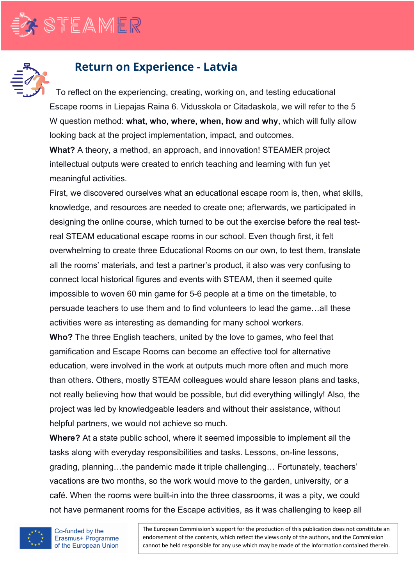

## **Return on Experience - Latvia**

To reflect on the experiencing, creating, working on, and testing educational Escape rooms in Liepajas Raina 6. Vidusskola or Citadaskola, we will refer to the 5 W question method: **what, who, where, when, how and why**, which will fully allow looking back at the project implementation, impact, and outcomes.

**What?** A theory, a method, an approach, and innovation! STEAMER project intellectual outputs were created to enrich teaching and learning with fun yet meaningful activities.

First, we discovered ourselves what an educational escape room is, then, what skills, knowledge, and resources are needed to create one; afterwards, we participated in designing the online course, which turned to be out the exercise before the real testreal STEAM educational escape rooms in our school. Even though first, it felt overwhelming to create three Educational Rooms on our own, to test them, translate all the rooms' materials, and test a partner's product, it also was very confusing to connect local historical figures and events with STEAM, then it seemed quite impossible to woven 60 min game for 5-6 people at a time on the timetable, to persuade teachers to use them and to find volunteers to lead the game…all these activities were as interesting as demanding for many school workers.

**Who?** The three English teachers, united by the love to games, who feel that gamification and Escape Rooms can become an effective tool for alternative education, were involved in the work at outputs much more often and much more than others. Others, mostly STEAM colleagues would share lesson plans and tasks, not really believing how that would be possible, but did everything willingly! Also, the project was led by knowledgeable leaders and without their assistance, without helpful partners, we would not achieve so much.

**Where?** At a state public school, where it seemed impossible to implement all the tasks along with everyday responsibilities and tasks. Lessons, on-line lessons, grading, planning…the pandemic made it triple challenging… Fortunately, teachers' vacations are two months, so the work would move to the garden, university, or a café. When the rooms were built-in into the three classrooms, it was a pity, we could not have permanent rooms for the Escape activities, as it was challenging to keep all



The European Commission's support for the production of this publication does not constitute an endorsement of the contents, which reflect the views only of the authors, and the Commission cannot be held responsible for any use which may be made of the information contained therein.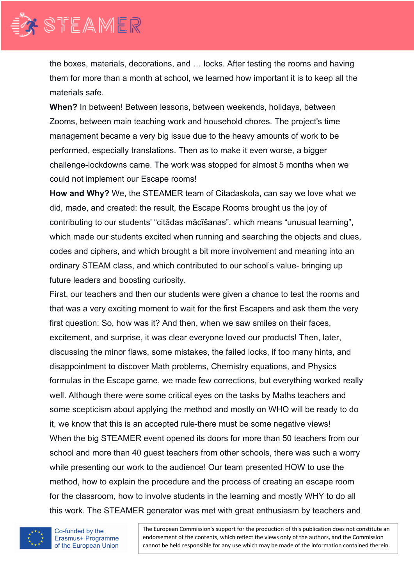

the boxes, materials, decorations, and … locks. After testing the rooms and having them for more than a month at school, we learned how important it is to keep all the materials safe.

**When?** In between! Between lessons, between weekends, holidays, between Zooms, between main teaching work and household chores. The project's time management became a very big issue due to the heavy amounts of work to be performed, especially translations. Then as to make it even worse, a bigger challenge-lockdowns came. The work was stopped for almost 5 months when we could not implement our Escape rooms!

**How and Why?** We, the STEAMER team of Citadaskola, can say we love what we did, made, and created: the result, the Escape Rooms brought us the joy of contributing to our students' "citādas mācīšanas", which means "unusual learning", which made our students excited when running and searching the objects and clues, codes and ciphers, and which brought a bit more involvement and meaning into an ordinary STEAM class, and which contributed to our school's value- bringing up future leaders and boosting curiosity.

First, our teachers and then our students were given a chance to test the rooms and that was a very exciting moment to wait for the first Escapers and ask them the very first question: So, how was it? And then, when we saw smiles on their faces, excitement, and surprise, it was clear everyone loved our products! Then, later, discussing the minor flaws, some mistakes, the failed locks, if too many hints, and disappointment to discover Math problems, Chemistry equations, and Physics formulas in the Escape game, we made few corrections, but everything worked really well. Although there were some critical eyes on the tasks by Maths teachers and some scepticism about applying the method and mostly on WHO will be ready to do it, we know that this is an accepted rule-there must be some negative views! When the big STEAMER event opened its doors for more than 50 teachers from our school and more than 40 guest teachers from other schools, there was such a worry while presenting our work to the audience! Our team presented HOW to use the method, how to explain the procedure and the process of creating an escape room for the classroom, how to involve students in the learning and mostly WHY to do all this work. The STEAMER generator was met with great enthusiasm by teachers and



Co-funded by the Erasmus+ Programme of the European Union

The European Commission's support for the production of this publication does not constitute an endorsement of the contents, which reflect the views only of the authors, and the Commission cannot be held responsible for any use which may be made of the information contained therein.